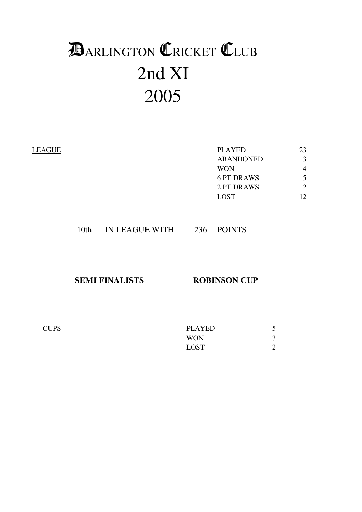# 2nd XI 2005 **DARLINGTON CRICKET CLUB**

| LEAGUE | <b>PLAYED</b>     | 23             |
|--------|-------------------|----------------|
|        | <b>ABANDONED</b>  | 3              |
|        | <b>WON</b>        | 4              |
|        | <b>6 PT DRAWS</b> | 5              |
|        | 2 PT DRAWS        | $\overline{2}$ |
|        | <b>LOST</b>       | 12             |
|        |                   |                |
|        |                   |                |

| IN LEAGUE WITH<br>10 <sub>th</sub> | <b>POINTS</b><br>236 |  |
|------------------------------------|----------------------|--|
|------------------------------------|----------------------|--|

**SEMI FINALISTS ROBINSON CUP** 

| <b>CUPS</b> | PLAYED      |   |
|-------------|-------------|---|
|             | <b>WON</b>  |   |
|             | <b>LOST</b> | ∼ |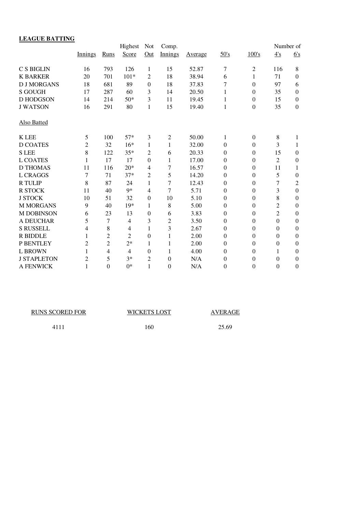| <b>LEAGUE BATTING</b> |                |                |                |                  |                |         |                  |                  |                |                  |
|-----------------------|----------------|----------------|----------------|------------------|----------------|---------|------------------|------------------|----------------|------------------|
|                       |                |                | Highest        | <b>Not</b>       | Comp.          |         |                  |                  | Number of      |                  |
|                       | Innings        | Runs           | Score          | Out              | Innings        | Average | 50's             | 100's            | 4's            | 6's              |
| <b>C S BIGLIN</b>     | 16             | 793            | 126            | 1                | 15             | 52.87   | 7                | $\overline{2}$   | 116            | 8                |
| <b>K BARKER</b>       | 20             | 701            | $101*$         | 2                | 18             | 38.94   | 6                | 1                | 71             | $\boldsymbol{0}$ |
| <b>D J MORGANS</b>    | 18             | 681            | 89             | $\boldsymbol{0}$ | 18             | 37.83   | 7                | $\Omega$         | 97             | 6                |
| <b>S GOUGH</b>        | 17             | 287            | 60             | 3                | 14             | 20.50   | 1                | $\Omega$         | 35             | $\boldsymbol{0}$ |
| <b>D HODGSON</b>      | 14             | 214            | $50*$          | 3                | 11             | 19.45   | 1                | $\Omega$         | 15             | $\mathbf{0}$     |
| <b>J WATSON</b>       | 16             | 291            | 80             | 1                | 15             | 19.40   | 1                | $\boldsymbol{0}$ | 35             | $\boldsymbol{0}$ |
| <b>Also Batted</b>    |                |                |                |                  |                |         |                  |                  |                |                  |
| <b>K</b> LEE          | 5              | 100            | $57*$          | 3                | $\overline{2}$ | 50.00   | $\mathbf{1}$     | $\boldsymbol{0}$ | 8              | 1                |
| <b>D COATES</b>       | $\overline{c}$ | 32             | $16*$          | 1                | 1              | 32.00   | $\theta$         | $\overline{0}$   | 3              | 1                |
| <b>SLEE</b>           | 8              | 122            | $35*$          | $\overline{2}$   | 6              | 20.33   | $\mathbf{0}$     | $\Omega$         | 15             | $\boldsymbol{0}$ |
| <b>L COATES</b>       | 1              | 17             | 17             | $\boldsymbol{0}$ | 1              | 17.00   | $\boldsymbol{0}$ | $\boldsymbol{0}$ | $\overline{2}$ | $\boldsymbol{0}$ |
| <b>D THOMAS</b>       | 11             | 116            | $20*$          | 4                | $\overline{7}$ | 16.57   | $\mathbf{0}$     | $\Omega$         | 11             | $\mathbf{1}$     |
| <b>L CRAGGS</b>       | $\overline{7}$ | 71             | $37*$          | 2                | 5              | 14.20   | $\mathbf{0}$     | $\theta$         | 5              | $\boldsymbol{0}$ |
| <b>R TULIP</b>        | 8              | 87             | 24             | 1                | $\overline{7}$ | 12.43   | $\theta$         | $\boldsymbol{0}$ | $\overline{7}$ | $\overline{2}$   |
| <b>R STOCK</b>        | 11             | 40             | $9*$           | $\overline{4}$   | $\overline{7}$ | 5.71    | $\overline{0}$   | $\theta$         | 3              | $\mathbf{0}$     |
| <b>J STOCK</b>        | 10             | 51             | 32             | $\boldsymbol{0}$ | 10             | 5.10    | $\mathbf{0}$     | $\boldsymbol{0}$ | 8              | $\boldsymbol{0}$ |
| <b>M MORGANS</b>      | 9              | 40             | 19*            | 1                | 8              | 5.00    | $\mathbf{0}$     | $\Omega$         | $\overline{2}$ | $\boldsymbol{0}$ |
| <b>M DOBINSON</b>     | 6              | 23             | 13             | $\boldsymbol{0}$ | 6              | 3.83    | $\mathbf{0}$     | $\Omega$         | $\overline{2}$ | $\boldsymbol{0}$ |
| <b>A DEUCHAR</b>      | 5              | 7              | $\overline{4}$ | 3                | $\overline{2}$ | 3.50    | $\boldsymbol{0}$ | $\boldsymbol{0}$ | $\overline{0}$ | $\boldsymbol{0}$ |
| <b>S RUSSELL</b>      | 4              | 8              | $\overline{4}$ | $\mathbf{1}$     | 3              | 2.67    | $\mathbf{0}$     | $\boldsymbol{0}$ | $\Omega$       | $\mathbf{0}$     |
| <b>R BIDDLE</b>       | 1              | $\overline{2}$ | $\overline{2}$ | $\boldsymbol{0}$ | 1              | 2.00    | $\boldsymbol{0}$ | $\boldsymbol{0}$ | $\overline{0}$ | $\boldsymbol{0}$ |
| P BENTLEY             | $\overline{c}$ | $\overline{2}$ | $2*$           | 1                | 1              | 2.00    | $\theta$         | $\theta$         | $\overline{0}$ | $\boldsymbol{0}$ |
| <b>L BROWN</b>        | 1              | 4              | $\overline{4}$ | $\boldsymbol{0}$ | 1              | 4.00    | $\overline{0}$   | $\overline{0}$   | $\mathbf{1}$   | $\boldsymbol{0}$ |
| <b>J STAPLETON</b>    | $\overline{c}$ | 5              | $3*$           | $\overline{2}$   | $\theta$       | N/A     | $\boldsymbol{0}$ | $\Omega$         | $\theta$       | $\boldsymbol{0}$ |
| A FENWICK             | 1              | $\overline{0}$ | $0*$           | $\mathbf{1}$     | $\theta$       | N/A     | $\mathbf{0}$     | $\theta$         | $\theta$       | $\mathbf{0}$     |

| <b>RUNS SCORED FOR</b> | <b>WICKETS LOST</b> | AVERAGE |
|------------------------|---------------------|---------|
| 4111                   | 160                 | 25.69   |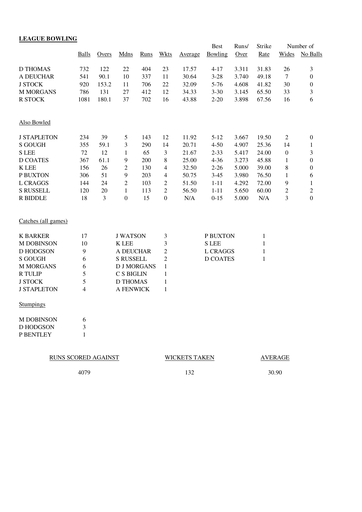|                     | <b>Balls</b>             | Overs | <b>Mdns</b>        | <b>Runs</b> | <b>Wkts</b>      | Average              | <b>Best</b><br>Bowling | Runs/<br>Over | Strike<br>Rate | Wides            | Number of<br>No Balls |
|---------------------|--------------------------|-------|--------------------|-------------|------------------|----------------------|------------------------|---------------|----------------|------------------|-----------------------|
| <b>D THOMAS</b>     | 732                      | 122   | 22                 | 404         | 23               | 17.57                | $4 - 17$               | 3.311         | 31.83          | 26               | 3                     |
| A DEUCHAR           | 541                      | 90.1  | 10                 | 337         | 11               | 30.64                | $3 - 28$               | 3.740         | 49.18          | $\boldsymbol{7}$ | $\boldsymbol{0}$      |
| <b>J STOCK</b>      | 920                      | 153.2 | 11                 | 706         | 22               | 32.09                | $5 - 76$               | 4.608         | 41.82          | 30               | $\boldsymbol{0}$      |
| <b>M MORGANS</b>    | 786                      | 131   | 27                 | 412         | 12               | 34.33                | $3 - 30$               | 3.145         | 65.50          | 33               | 3                     |
| <b>R STOCK</b>      | 1081                     | 180.1 | 37                 | 702         | 16               | 43.88                | $2 - 20$               | 3.898         | 67.56          | 16               | 6                     |
| Also Bowled         |                          |       |                    |             |                  |                      |                        |               |                |                  |                       |
| <b>J STAPLETON</b>  | 234                      | 39    | 5                  | 143         | 12               | 11.92                | $5 - 12$               | 3.667         | 19.50          | 2                | $\boldsymbol{0}$      |
| <b>S GOUGH</b>      | 355                      | 59.1  | 3                  | 290         | 14               | 20.71                | $4 - 50$               | 4.907         | 25.36          | 14               | 1                     |
| <b>S</b> LEE        | 72                       | 12    | 1                  | 65          | 3                | 21.67                | $2 - 33$               | 5.417         | 24.00          | $\boldsymbol{0}$ | 3                     |
| <b>D COATES</b>     | 367                      | 61.1  | 9                  | 200         | 8                | 25.00                | $4 - 36$               | 3.273         | 45.88          | 1                | $\boldsymbol{0}$      |
| <b>K</b> LEE        | 156                      | 26    | $\overline{c}$     | 130         | $\overline{4}$   | 32.50                | $2 - 26$               | 5.000         | 39.00          | 8                | $\boldsymbol{0}$      |
| P BUXTON            | 306                      | 51    | 9                  | 203         | 4                | 50.75                | $3-45$                 | 3.980         | 76.50          | 1                | 6                     |
| <b>L CRAGGS</b>     | 144                      | 24    | $\overline{c}$     | 103         | $\boldsymbol{2}$ | 51.50                | $1 - 11$               | 4.292         | 72.00          | 9                | $\mathbf{1}$          |
| <b>S RUSSELL</b>    | 120                      | 20    | $\mathbf{1}$       | 113         | $\sqrt{2}$       | 56.50                | $1 - 11$               | 5.650         | 60.00          | $\boldsymbol{2}$ | $\overline{c}$        |
| R BIDDLE            | 18                       | 3     | $\boldsymbol{0}$   | 15          | $\boldsymbol{0}$ | $\rm N/A$            | $0 - 15$               | 5.000         | N/A            | 3                | $\boldsymbol{0}$      |
| Catches (all games) |                          |       |                    |             |                  |                      |                        |               |                |                  |                       |
| <b>K BARKER</b>     | 17                       |       | <b>J WATSON</b>    |             | 3                |                      | P BUXTON               |               | $\mathbf{1}$   |                  |                       |
| <b>M DOBINSON</b>   | 10                       |       | <b>K</b> LEE       |             | $\mathfrak{Z}$   |                      | <b>S</b> LEE           |               | $\mathbf{1}$   |                  |                       |
| <b>D HODGSON</b>    | 9                        |       | A DEUCHAR          |             | $\sqrt{2}$       |                      | <b>L CRAGGS</b>        |               | $\mathbf{1}$   |                  |                       |
| <b>S GOUGH</b>      | 6                        |       | <b>S RUSSELL</b>   |             | $\sqrt{2}$       |                      | <b>D COATES</b>        |               | $\mathbf{1}$   |                  |                       |
| <b>M MORGANS</b>    | 6                        |       | <b>D J MORGANS</b> |             | $\mathbf{1}$     |                      |                        |               |                |                  |                       |
| <b>R</b> TULIP      | 5                        |       | C S BIGLIN         |             | 1                |                      |                        |               |                |                  |                       |
| <b>J STOCK</b>      | 5                        |       | <b>D THOMAS</b>    |             | $\mathbf{1}$     |                      |                        |               |                |                  |                       |
| <b>J STAPLETON</b>  | $\overline{\mathcal{A}}$ |       | A FENWICK          |             | $\mathbf{1}$     |                      |                        |               |                |                  |                       |
| <b>Stumpings</b>    |                          |       |                    |             |                  |                      |                        |               |                |                  |                       |
| <b>M DOBINSON</b>   | 6                        |       |                    |             |                  |                      |                        |               |                |                  |                       |
| D HODGSON           | 3                        |       |                    |             |                  |                      |                        |               |                |                  |                       |
| P BENTLEY           | 1                        |       |                    |             |                  |                      |                        |               |                |                  |                       |
| RUNS SCORED AGAINST |                          |       |                    |             |                  | <b>WICKETS TAKEN</b> |                        |               |                | <b>AVERAGE</b>   |                       |

4079 132 30.90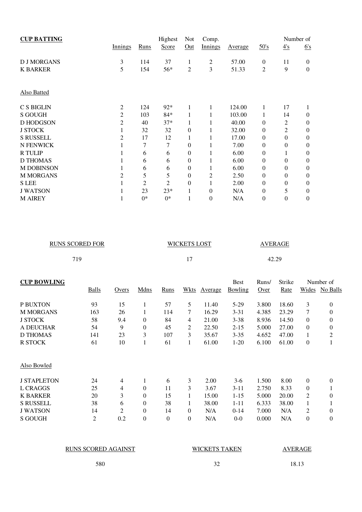| <b>CUP BATTING</b> |                |                | Highest        | Not            | Comp.          |         |                  |                | Number of        |
|--------------------|----------------|----------------|----------------|----------------|----------------|---------|------------------|----------------|------------------|
|                    | Innings        | Runs           | Score          | Out            | Innings        | Average | 50's             | 4's            | 6's              |
| <b>D J MORGANS</b> | 3              | 114            | 37             | 1              | $\overline{c}$ | 57.00   | $\boldsymbol{0}$ | 11             | $\theta$         |
| <b>K BARKER</b>    | 5              | 154            | 56*            | 2              | 3              | 51.33   | 2                | 9              | $\boldsymbol{0}$ |
| <b>Also Batted</b> |                |                |                |                |                |         |                  |                |                  |
| C S BIGLIN         | 2              | 124            | $92*$          | 1              | 1              | 124.00  | 1                | 17             | 1                |
| <b>S GOUGH</b>     | $\overline{c}$ | 103            | $84*$          | 1              | 1              | 103.00  | 1                | 14             | $\Omega$         |
| <b>D HODGSON</b>   | $\overline{c}$ | 40             | $37*$          |                |                | 40.00   | $\theta$         | 2              | $\boldsymbol{0}$ |
| <b>J STOCK</b>     | 1              | 32             | 32             | $\Omega$       |                | 32.00   | $\boldsymbol{0}$ | $\overline{2}$ | $\overline{0}$   |
| <b>S RUSSELL</b>   | 2              | 17             | 12             | 1              |                | 17.00   | $\theta$         | $\theta$       | $\overline{0}$   |
| N FENWICK          |                | 7              | 7              | $\overline{0}$ |                | 7.00    | $\theta$         | $\theta$       | $\theta$         |
| <b>R TULIP</b>     |                | 6              | 6              | $\Omega$       | 1              | 6.00    | $\theta$         | 1              | $\overline{0}$   |
| <b>D THOMAS</b>    |                | 6              | 6              | $\overline{0}$ |                | 6.00    | $\theta$         | $\theta$       | $\theta$         |
| <b>M DOBINSON</b>  |                | 6              | 6              | $\overline{0}$ | 1              | 6.00    | $\theta$         | $\theta$       | $\overline{0}$   |
| <b>M MORGANS</b>   | 2              | 5              | 5              | $\overline{0}$ | 2              | 2.50    | $\theta$         | $\theta$       | $\theta$         |
| <b>S</b> LEE       |                | $\overline{2}$ | $\overline{2}$ | $\Omega$       | 1              | 2.00    | $\boldsymbol{0}$ | $\theta$       | $\theta$         |
| <b>J WATSON</b>    |                | 23             | $23*$          | 1              | $\theta$       | N/A     | $\theta$         | 5              | $\theta$         |
| <b>M AIREY</b>     |                | $0*$           | $0*$           |                | $\Omega$       | N/A     | $\boldsymbol{0}$ | 0              | $\boldsymbol{0}$ |

| <b>RUNS SCORED FOR</b> | <b>WICKETS LOST</b> | AVERAGE |
|------------------------|---------------------|---------|
| 719                    | . .                 | 42.29   |

| <b>CUP BOWLING</b> |                |       |                |                |          |         | <b>Best</b> | Runs/ | Strike |              | Number of        |
|--------------------|----------------|-------|----------------|----------------|----------|---------|-------------|-------|--------|--------------|------------------|
|                    | Balls          | Overs | Mdns           | Runs           | Wkts     | Average | Bowling     | Over  | Rate   |              | Wides No Balls   |
| P BUXTON           | 93             | 15    |                | 57             | 5        | 11.40   | $5-29$      | 3.800 | 18.60  | 3            | $\boldsymbol{0}$ |
| <b>M MORGANS</b>   | 163            | 26    |                | 114            | 7        | 16.29   | $3 - 31$    | 4.385 | 23.29  | 7            | $\boldsymbol{0}$ |
| <b>J STOCK</b>     | 58             | 9.4   | $\Omega$       | 84             | 4        | 21.00   | $3 - 38$    | 8.936 | 14.50  | $\Omega$     | $\theta$         |
| A DEUCHAR          | 54             | 9     | $\overline{0}$ | 45             | 2        | 22.50   | $2 - 15$    | 5.000 | 27.00  | $\Omega$     | $\boldsymbol{0}$ |
| <b>D THOMAS</b>    | 141            | 23    | 3              | 107            | 3        | 35.67   | $3 - 35$    | 4.652 | 47.00  |              | $\overline{c}$   |
| R STOCK            | 61             | 10    |                | 61             |          | 61.00   | $1-20$      | 6.100 | 61.00  | $\mathbf{0}$ |                  |
| Also Bowled        |                |       |                |                |          |         |             |       |        |              |                  |
| <b>J STAPLETON</b> | 24             | 4     |                | 6              | 3        | 2.00    | $3-6$       | 1.500 | 8.00   | $\Omega$     | $\theta$         |
| L CRAGGS           | 25             | 4     | $\theta$       | 11             | 3        | 3.67    | 3-11        | 2.750 | 8.33   | $\Omega$     |                  |
| <b>K BARKER</b>    | 20             | 3     | $\theta$       | 15             |          | 15.00   | $1 - 15$    | 5.000 | 20.00  | 2            | $\overline{0}$   |
| <b>S RUSSELL</b>   | 38             | 6     | $\theta$       | 38             |          | 38.00   | 1-11        | 6.333 | 38.00  | 1            |                  |
| <b>J WATSON</b>    | 14             | 2     | $\theta$       | 14             | $\theta$ | N/A     | $0-14$      | 7.000 | N/A    | 2            | $\theta$         |
| <b>S GOUGH</b>     | $\overline{2}$ | 0.2   | $\overline{0}$ | $\overline{0}$ | $\theta$ | N/A     | $0-0$       | 0.000 | N/A    | $\theta$     | $\theta$         |

| RUNS SCORED AGAINST | <b>WICKETS TAKEN</b> | AVERAGE |
|---------------------|----------------------|---------|
| 580                 |                      | 18.13   |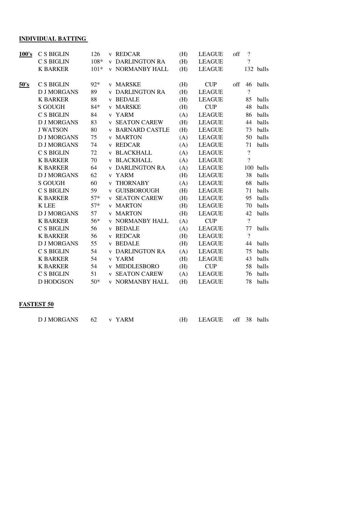# **INDIVIDUAL BATTING**

| 100's | C S BIGLIN         | 126    | v REDCAR                | (H) | <b>LEAGUE</b> | off    | $\overline{?}$           |           |
|-------|--------------------|--------|-------------------------|-----|---------------|--------|--------------------------|-----------|
|       | C S BIGLIN         | 108*   | <b>v DARLINGTON RA</b>  | (H) | <b>LEAGUE</b> |        | $\gamma$                 |           |
|       | <b>K BARKER</b>    | $101*$ | <b>v NORMANBY HALL</b>  | (H) | <b>LEAGUE</b> |        |                          | 132 balls |
|       |                    |        |                         |     |               |        |                          |           |
| 50's  | C S BIGLIN         | $92*$  | <b>v</b> MARSKE         | (H) | <b>CUP</b>    | $\int$ | 46                       | balls     |
|       | <b>D J MORGANS</b> | 89     | <b>v DARLINGTON RA</b>  | (H) | <b>LEAGUE</b> |        | $\gamma$                 |           |
|       | <b>K BARKER</b>    | 88     | <b>v</b> BEDALE         | (H) | <b>LEAGUE</b> |        | 85                       | balls     |
|       | <b>S GOUGH</b>     | $84*$  | v MARSKE                | (H) | <b>CUP</b>    |        | 48                       | balls     |
|       | C S BIGLIN         | 84     | v YARM                  | (A) | <b>LEAGUE</b> |        | 86                       | balls     |
|       | <b>D J MORGANS</b> | 83     | <b>v SEATON CAREW</b>   | (H) | <b>LEAGUE</b> |        | 44                       | balls     |
|       | <b>J WATSON</b>    | 80     | <b>v BARNARD CASTLE</b> | (H) | <b>LEAGUE</b> |        | 73                       | balls     |
|       | <b>D J MORGANS</b> | 75     | <b>v MARTON</b>         | (A) | <b>LEAGUE</b> |        | 50                       | balls     |
|       | <b>D J MORGANS</b> | 74     | v REDCAR                | (A) | <b>LEAGUE</b> |        | 71                       | balls     |
|       | <b>C S BIGLIN</b>  | 72     | <b>v BLACKHALL</b>      | (A) | <b>LEAGUE</b> |        | $\overline{\mathcal{L}}$ |           |
|       | <b>K BARKER</b>    | 70     | <b>v BLACKHALL</b>      | (A) | <b>LEAGUE</b> |        | $\gamma$                 |           |
|       | <b>K BARKER</b>    | 64     | <b>v DARLINGTON RA</b>  | (A) | <b>LEAGUE</b> |        |                          | 100 balls |
|       | <b>D J MORGANS</b> | 62     | v YARM                  | (H) | <b>LEAGUE</b> |        | 38                       | balls     |
|       | <b>S GOUGH</b>     | 60     | <b>v THORNABY</b>       | (A) | <b>LEAGUE</b> |        | 68                       | balls     |
|       | C S BIGLIN         | 59     | v GUISBOROUGH           | (H) | <b>LEAGUE</b> |        | 71                       | balls     |
|       | <b>K BARKER</b>    | $57*$  | <b>v SEATON CAREW</b>   | (H) | <b>LEAGUE</b> |        | 95                       | balls     |
|       | <b>K</b> LEE       | $57*$  | <b>v</b> MARTON         | (H) | <b>LEAGUE</b> |        | 70                       | balls     |
|       | <b>D J MORGANS</b> | 57     | <b>v MARTON</b>         | (H) | <b>LEAGUE</b> |        | 42                       | balls     |
|       | <b>K BARKER</b>    | 56*    | <b>v NORMANBY HALL</b>  | (A) | CUP           |        | $\overline{?}$           |           |
|       | <b>C S BIGLIN</b>  | 56     | <b>v</b> BEDALE         | (A) | <b>LEAGUE</b> |        | 77                       | balls     |
|       | <b>K BARKER</b>    | 56     | v REDCAR                | (H) | <b>LEAGUE</b> |        | $\gamma$                 |           |
|       | <b>D J MORGANS</b> | 55     | <b>v</b> BEDALE         | (H) | <b>LEAGUE</b> |        | 44                       | balls     |
|       | C S BIGLIN         | 54     | <b>v DARLINGTON RA</b>  | (A) | <b>LEAGUE</b> |        | 75                       | balls     |
|       | <b>K BARKER</b>    | 54     | v YARM                  | (H) | <b>LEAGUE</b> |        | 43                       | balls     |
|       | <b>K BARKER</b>    | 54     | v MIDDLESBORO           | (H) | <b>CUP</b>    |        | 58                       | balls     |
|       | C S BIGLIN         | 51     | <b>v SEATON CAREW</b>   | (A) | <b>LEAGUE</b> |        | 76                       | balls     |
|       | D HODGSON          | $50*$  | <b>v NORMANBY HALL</b>  | (H) | <b>LEAGUE</b> |        | 78                       | balls     |

#### **FASTEST 50**

| DJMORGANS 62 v YARM |  | (H) LEAGUE off 38 balls |  |  |
|---------------------|--|-------------------------|--|--|
|                     |  |                         |  |  |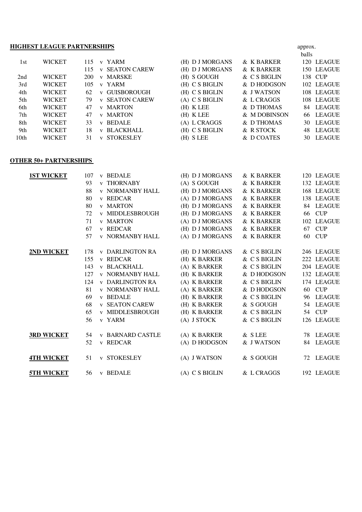### **HIGHEST LEAGUE PARTNERSHIPS** approx.

|                  |               |     |                                  |                  |              | balls         |
|------------------|---------------|-----|----------------------------------|------------------|--------------|---------------|
| 1st              | <b>WICKET</b> | 115 | v YARM                           | (H) D J MORGANS  | & K BARKER   | 120 LEAGUE    |
|                  |               | 115 | <b>v SEATON CAREW</b>            | (H) D J MORGANS  | & K BARKER   | 150 LEAGUE    |
| 2nd              | <b>WICKET</b> | 200 | <b>v MARSKE</b>                  | (H) S GOUGH      | & C S BIGLIN | 138 CUP       |
| 3rd              | <b>WICKET</b> | 105 | v YARM                           | (H) C S BIGLIN   | & D HODGSON  | 102 LEAGUE    |
| 4th              | <b>WICKET</b> | 62  | <b>v GUISBOROUGH</b>             | $(H)$ C S BIGLIN | & J WATSON   | 108 LEAGUE    |
| 5th              | <b>WICKET</b> | 79  | <b>v SEATON CAREW</b>            | $(A)$ C S BIGLIN | & L CRAGGS   | 108 LEAGUE    |
| 6th              | <b>WICKET</b> | 47  | <b>v</b> MARTON                  | $(H)$ K LEE      | & D THOMAS   | LEAGUE<br>84. |
| 7th              | <b>WICKET</b> | 47  | <b>v</b> MARTON                  | $(H)$ K LEE      | & M DOBINSON | LEAGUE<br>66  |
| 8th              | <b>WICKET</b> | 33  | <b>v</b> BEDALE                  | (A) L CRAGGS     | & D THOMAS   | LEAGUE<br>30  |
| 9th              | <b>WICKET</b> | 18  | <b>v BLACKHALL</b>               | (H) C S BIGLIN   | & R STOCK    | LEAGUE<br>48  |
| 10 <sub>th</sub> | <b>WICKET</b> | 31  | <b>STOKESLEY</b><br>$\mathbf{V}$ | (H) S LEE        | & D COATES   | LEAGUE<br>30. |

#### **OTHER 50+ PARTNERSHIPS**

| <b>1ST WICKET</b> | 107 | <b>v</b> BEDALE         | (H) D J MORGANS  | & K BARKER   | 120 LEAGUE |
|-------------------|-----|-------------------------|------------------|--------------|------------|
|                   | 93  | <b>v THORNABY</b>       | (A) S GOUGH      | & K BARKER   | 132 LEAGUE |
|                   | 88  | <b>v NORMANBY HALL</b>  | (H) D J MORGANS  | & K BARKER   | 168 LEAGUE |
|                   | 80  | v REDCAR                | (A) D J MORGANS  | & K BARKER   | 138 LEAGUE |
|                   | 80  | <b>v MARTON</b>         | (H) D J MORGANS  | & K BARKER   | 84 LEAGUE  |
|                   | 72  | <b>v MIDDLESBROUGH</b>  | (H) D J MORGANS  | & K BARKER   | 66 CUP     |
|                   | 71  | <b>v MARTON</b>         | (A) D J MORGANS  | & K BARKER   | 102 LEAGUE |
|                   | 67  | v REDCAR                | (H) D J MORGANS  | & K BARKER   | 67 CUP     |
|                   | 57  | <b>v NORMANBY HALL</b>  | (A) D J MORGANS  | & K BARKER   | 60 CUP     |
|                   |     |                         |                  |              |            |
| 2ND WICKET        | 178 | <b>v DARLINGTON RA</b>  | (H) D J MORGANS  | & C S BIGLIN | 246 LEAGUE |
|                   | 155 | v REDCAR                | (H) K BARKER     | & C S BIGLIN | 222 LEAGUE |
|                   | 143 | <b>v BLACKHALL</b>      | (A) K BARKER     | & C S BIGLIN | 204 LEAGUE |
|                   | 127 | <b>v NORMANBY HALL</b>  | (H) K BARKER     | & D HODGSON  | 132 LEAGUE |
|                   | 124 | <b>v DARLINGTON RA</b>  | (A) K BARKER     | & C S BIGLIN | 174 LEAGUE |
|                   | 81  | <b>v NORMANBY HALL</b>  | (A) K BARKER     | & D HODGSON  | 60 CUP     |
|                   | 69  | <b>v</b> BEDALE         | (H) K BARKER     | & C S BIGLIN | 96 LEAGUE  |
|                   | 68  | <b>v SEATON CAREW</b>   | (H) K BARKER     | & S GOUGH    | 54 LEAGUE  |
|                   | 65  | <b>v MIDDLESBROUGH</b>  | (H) K BARKER     | & C S BIGLIN | 54 CUP     |
|                   | 56  | v YARM                  | $(A)$ J STOCK    | & C S BIGLIN | 126 LEAGUE |
|                   |     |                         |                  |              |            |
| <b>3RD WICKET</b> | 54  | <b>v BARNARD CASTLE</b> | (A) K BARKER     | & SLEE       | 78 LEAGUE  |
|                   | 52  | v REDCAR                | (A) D HODGSON    | & J WATSON   | 84 LEAGUE  |
|                   |     |                         |                  |              |            |
| <b>4TH WICKET</b> | 51  | <b>v STOKESLEY</b>      | (A) J WATSON     | & S GOUGH    | 72 LEAGUE  |
|                   |     |                         |                  |              |            |
| <b>5TH WICKET</b> | 56  | <b>v</b> BEDALE         | $(A)$ C S BIGLIN | & L CRAGGS   | 192 LEAGUE |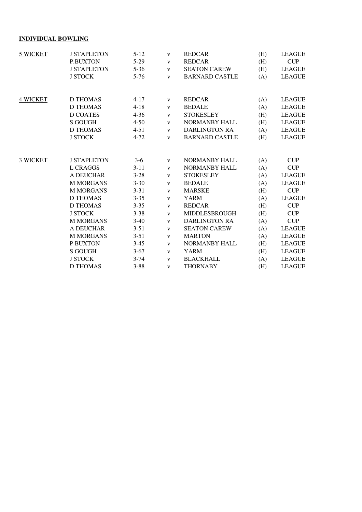## **INDIVIDUAL BOWLING**

| 5 WICKET        | <b>J STAPLETON</b> | $5 - 12$ | $\mathbf{V}$ | <b>REDCAR</b>         | (H) | <b>LEAGUE</b> |
|-----------------|--------------------|----------|--------------|-----------------------|-----|---------------|
|                 | <b>P.BUXTON</b>    | $5-29$   | $\mathbf{V}$ | <b>REDCAR</b>         | (H) | CUP           |
|                 | <b>J STAPLETON</b> | $5 - 36$ | $\mathbf{V}$ | <b>SEATON CAREW</b>   | (H) | <b>LEAGUE</b> |
|                 | <b>J STOCK</b>     | $5 - 76$ | $\mathbf{V}$ | <b>BARNARD CASTLE</b> | (A) | <b>LEAGUE</b> |
|                 |                    |          |              |                       |     |               |
| <b>4 WICKET</b> | D THOMAS           | $4 - 17$ | $\mathbf{V}$ | <b>REDCAR</b>         | (A) | <b>LEAGUE</b> |
|                 | <b>D THOMAS</b>    | $4 - 18$ | $\mathbf{V}$ | <b>BEDALE</b>         | (A) | <b>LEAGUE</b> |
|                 | <b>D COATES</b>    | $4 - 36$ | $\mathbf{V}$ | <b>STOKESLEY</b>      | (H) | <b>LEAGUE</b> |
|                 | <b>S GOUGH</b>     | $4 - 50$ | $\mathbf{V}$ | NORMANBY HALL         | (H) | <b>LEAGUE</b> |
|                 | <b>D THOMAS</b>    | $4 - 51$ | $\mathbf{V}$ | <b>DARLINGTON RA</b>  | (A) | <b>LEAGUE</b> |
|                 | <b>J STOCK</b>     | $4 - 72$ | $\mathbf{V}$ | <b>BARNARD CASTLE</b> | (H) | <b>LEAGUE</b> |
|                 |                    |          |              |                       |     |               |
| <b>3 WICKET</b> | <b>J STAPLETON</b> | $3-6$    | $\mathbf{V}$ | NORMANBY HALL         | (A) | <b>CUP</b>    |
|                 | <b>L CRAGGS</b>    | $3 - 11$ | $\mathbf{V}$ | NORMANBY HALL         | (A) | CUP           |
|                 | A DEUCHAR          | $3 - 28$ | $\mathbf{V}$ | <b>STOKESLEY</b>      | (A) | <b>LEAGUE</b> |
|                 | <b>M MORGANS</b>   | $3 - 30$ | $\mathbf{V}$ | <b>BEDALE</b>         | (A) | <b>LEAGUE</b> |
|                 | <b>M MORGANS</b>   | $3 - 31$ | $\mathbf{V}$ | <b>MARSKE</b>         | (H) | CUP           |
|                 | <b>D THOMAS</b>    | $3 - 35$ | $\mathbf{V}$ | YARM                  | (A) | <b>LEAGUE</b> |
|                 | D THOMAS           | $3 - 35$ | $\mathbf{V}$ | <b>REDCAR</b>         | (H) | <b>CUP</b>    |
|                 | <b>J STOCK</b>     | $3 - 38$ | $\mathbf{V}$ | MIDDLESBROUGH         | (H) | <b>CUP</b>    |
|                 | <b>M MORGANS</b>   | $3-40$   | $\mathbf{V}$ | <b>DARLINGTON RA</b>  | (A) | CUP           |
|                 | A DEUCHAR          | $3 - 51$ | $\mathbf{V}$ | <b>SEATON CAREW</b>   | (A) | <b>LEAGUE</b> |
|                 | <b>M MORGANS</b>   | $3 - 51$ | $\mathbf{V}$ | <b>MARTON</b>         | (A) | <b>LEAGUE</b> |
|                 | P BUXTON           | $3-45$   | $\mathbf{V}$ | NORMANBY HALL         | (H) | <b>LEAGUE</b> |
|                 | S GOUGH            | $3-67$   | $\mathbf{V}$ | YARM                  | (H) | <b>LEAGUE</b> |
|                 | <b>J STOCK</b>     | $3 - 74$ | $\mathbf{V}$ | <b>BLACKHALL</b>      | (A) | <b>LEAGUE</b> |
|                 | D THOMAS           | $3 - 88$ | $\mathbf{V}$ | <b>THORNABY</b>       | (H) | <b>LEAGUE</b> |